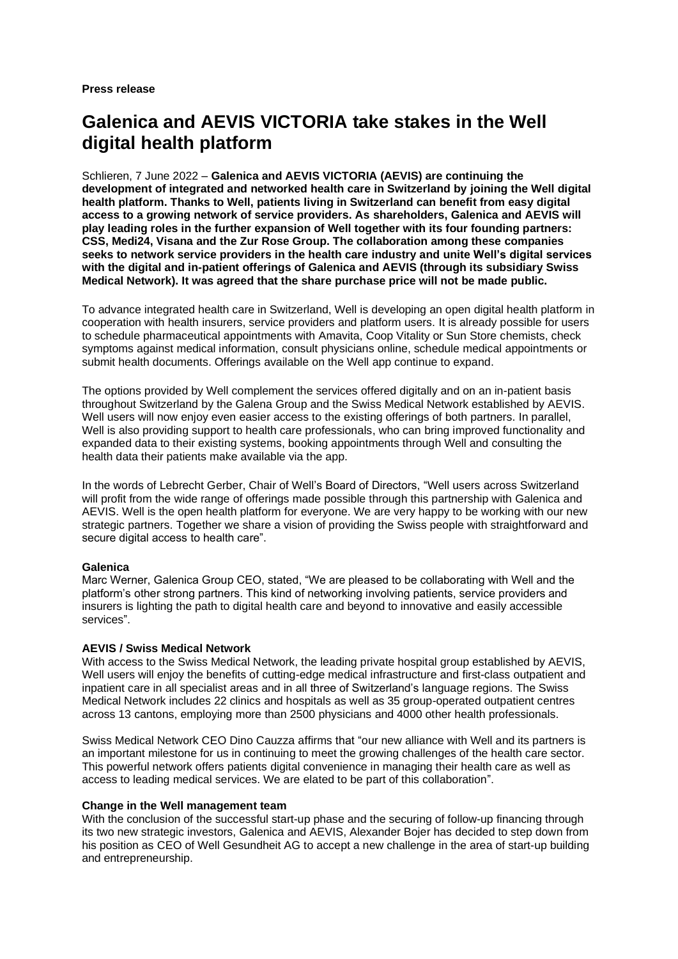**Press release**

# **Galenica and AEVIS VICTORIA take stakes in the Well digital health platform**

Schlieren, 7 June 2022 – **Galenica and AEVIS VICTORIA (AEVIS) are continuing the development of integrated and networked health care in Switzerland by joining the Well digital health platform. Thanks to Well, patients living in Switzerland can benefit from easy digital access to a growing network of service providers. As shareholders, Galenica and AEVIS will play leading roles in the further expansion of Well together with its four founding partners: CSS, Medi24, Visana and the Zur Rose Group. The collaboration among these companies seeks to network service providers in the health care industry and unite Well's digital services with the digital and in-patient offerings of Galenica and AEVIS (through its subsidiary Swiss Medical Network). It was agreed that the share purchase price will not be made public.**

To advance integrated health care in Switzerland, Well is developing an open digital health platform in cooperation with health insurers, service providers and platform users. It is already possible for users to schedule pharmaceutical appointments with Amavita, Coop Vitality or Sun Store chemists, check symptoms against medical information, consult physicians online, schedule medical appointments or submit health documents. Offerings available on the Well app continue to expand.

The options provided by Well complement the services offered digitally and on an in-patient basis throughout Switzerland by the Galena Group and the Swiss Medical Network established by AEVIS. Well users will now enjoy even easier access to the existing offerings of both partners. In parallel, Well is also providing support to health care professionals, who can bring improved functionality and expanded data to their existing systems, booking appointments through Well and consulting the health data their patients make available via the app.

In the words of Lebrecht Gerber, Chair of Well's Board of Directors, "Well users across Switzerland will profit from the wide range of offerings made possible through this partnership with Galenica and AEVIS. Well is the open health platform for everyone. We are very happy to be working with our new strategic partners. Together we share a vision of providing the Swiss people with straightforward and secure digital access to health care".

# **Galenica**

Marc Werner, Galenica Group CEO, stated, "We are pleased to be collaborating with Well and the platform's other strong partners. This kind of networking involving patients, service providers and insurers is lighting the path to digital health care and beyond to innovative and easily accessible services".

# **AEVIS / Swiss Medical Network**

With access to the Swiss Medical Network, the leading private hospital group established by AEVIS, Well users will enjoy the benefits of cutting-edge medical infrastructure and first-class outpatient and inpatient care in all specialist areas and in all three of Switzerland's language regions. The Swiss Medical Network includes 22 clinics and hospitals as well as 35 group-operated outpatient centres across 13 cantons, employing more than 2500 physicians and 4000 other health professionals.

Swiss Medical Network CEO Dino Cauzza affirms that "our new alliance with Well and its partners is an important milestone for us in continuing to meet the growing challenges of the health care sector. This powerful network offers patients digital convenience in managing their health care as well as access to leading medical services. We are elated to be part of this collaboration".

# **Change in the Well management team**

With the conclusion of the successful start-up phase and the securing of follow-up financing through its two new strategic investors, Galenica and AEVIS, Alexander Bojer has decided to step down from his position as CEO of Well Gesundheit AG to accept a new challenge in the area of start-up building and entrepreneurship.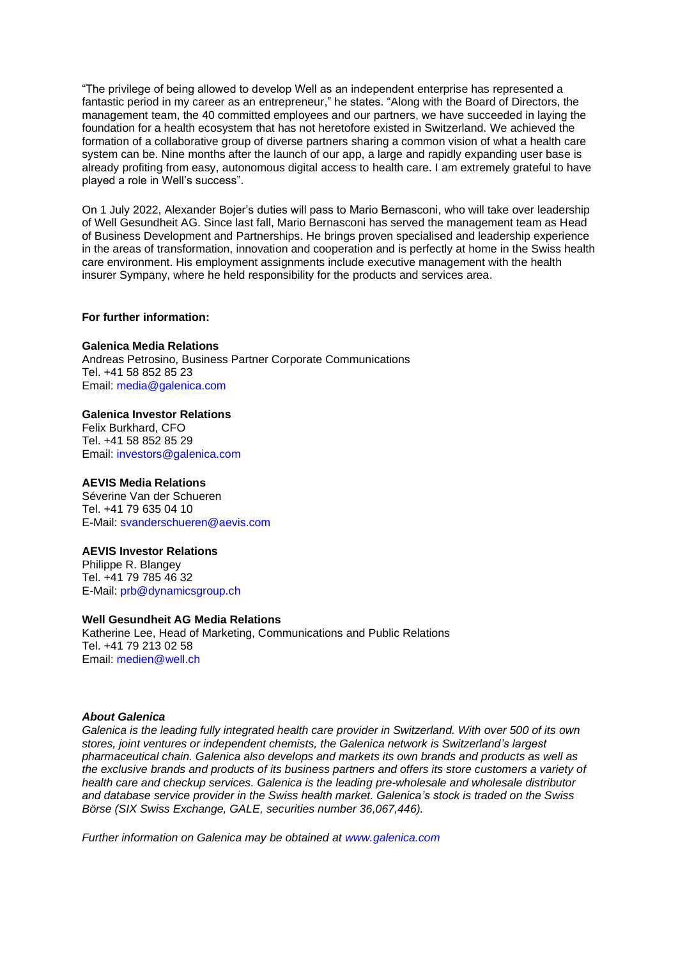"The privilege of being allowed to develop Well as an independent enterprise has represented a fantastic period in my career as an entrepreneur," he states. "Along with the Board of Directors, the management team, the 40 committed employees and our partners, we have succeeded in laying the foundation for a health ecosystem that has not heretofore existed in Switzerland. We achieved the formation of a collaborative group of diverse partners sharing a common vision of what a health care system can be. Nine months after the launch of our app, a large and rapidly expanding user base is already profiting from easy, autonomous digital access to health care. I am extremely grateful to have played a role in Well's success".

On 1 July 2022, Alexander Bojer's duties will pass to Mario Bernasconi, who will take over leadership of Well Gesundheit AG. Since last fall, Mario Bernasconi has served the management team as Head of Business Development and Partnerships. He brings proven specialised and leadership experience in the areas of transformation, innovation and cooperation and is perfectly at home in the Swiss health care environment. His employment assignments include executive management with the health insurer Sympany, where he held responsibility for the products and services area.

#### **For further information:**

### **Galenica Media Relations**

Andreas Petrosino, Business Partner Corporate Communications Tel. +41 58 852 85 23 Email: media@galenica.com

### **Galenica Investor Relations**

Felix Burkhard, CFO Tel. +41 58 852 85 29 Email: investors@galenica.com

### **AEVIS Media Relations**

Séverine Van der Schueren Tel. +41 79 635 04 10 E-Mail: [svanderschueren@aevis.com](mailto:svanderschueren@aevis.com)

# **AEVIS Investor Relations**

Philippe R. Blangey Tel. +41 79 785 46 32 E-Mail: [prb@dynamicsgroup.ch](mailto:prb@dynamicsgroup.ch)

# **Well Gesundheit AG Media Relations**

Katherine Lee, Head of Marketing, Communications and Public Relations Tel. +41 79 213 02 58 Email: [medien@well.ch](mailto:medien@well.ch)

#### *About Galenica*

*Galenica is the leading fully integrated health care provider in Switzerland. With over 500 of its own stores, joint ventures or independent chemists, the Galenica network is Switzerland's largest pharmaceutical chain. Galenica also develops and markets its own brands and products as well as the exclusive brands and products of its business partners and offers its store customers a variety of health care and checkup services. Galenica is the leading pre-wholesale and wholesale distributor and database service provider in the Swiss health market. Galenica's stock is traded on the Swiss Börse (SIX Swiss Exchange, GALE, securities number 36,067,446).* 

*Further information on Galenica may be obtained at www.galenica.com*